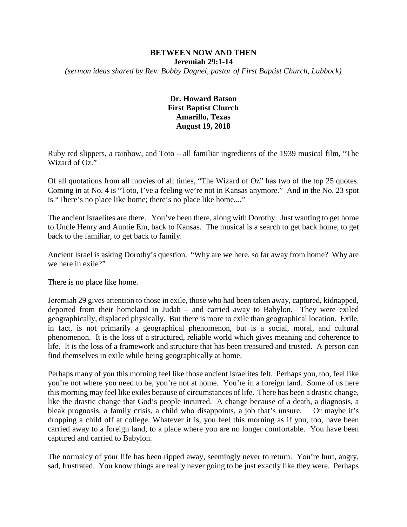#### **BETWEEN NOW AND THEN Jeremiah 29:1-14** *(sermon ideas shared by Rev. Bobby Dagnel, pastor of First Baptist Church, Lubbock)*

# **Dr. Howard Batson First Baptist Church Amarillo, Texas August 19, 2018**

Ruby red slippers, a rainbow, and Toto – all familiar ingredients of the 1939 musical film, "The Wizard of Oz."

Of all quotations from all movies of all times, "The Wizard of Oz" has two of the top 25 quotes. Coming in at No. 4 is "Toto, I've a feeling we're not in Kansas anymore." And in the No. 23 spot is "There's no place like home; there's no place like home...."

The ancient Israelites are there. You've been there, along with Dorothy. Just wanting to get home to Uncle Henry and Auntie Em, back to Kansas. The musical is a search to get back home, to get back to the familiar, to get back to family.

Ancient Israel is asking Dorothy's question. "Why are we here, so far away from home? Why are we here in exile?"

There is no place like home.

Jeremiah 29 gives attention to those in exile, those who had been taken away, captured, kidnapped, deported from their homeland in Judah – and carried away to Babylon. They were exiled geographically, displaced physically. But there is more to exile than geographical location. Exile, in fact, is not primarily a geographical phenomenon, but is a social, moral, and cultural phenomenon. It is the loss of a structured, reliable world which gives meaning and coherence to life. It is the loss of a framework and structure that has been treasured and trusted. A person can find themselves in exile while being geographically at home.

Perhaps many of you this morning feel like those ancient Israelites felt. Perhaps you, too, feel like you're not where you need to be, you're not at home. You're in a foreign land. Some of us here this morning may feel like exiles because of circumstances of life. There has been a drastic change, like the drastic change that God's people incurred. A change because of a death, a diagnosis, a bleak prognosis, a family crisis, a child who disappoints, a job that's unsure. Or maybe it's dropping a child off at college. Whatever it is, you feel this morning as if you, too, have been carried away to a foreign land, to a place where you are no longer comfortable. You have been captured and carried to Babylon.

The normalcy of your life has been ripped away, seemingly never to return. You're hurt, angry, sad, frustrated. You know things are really never going to be just exactly like they were. Perhaps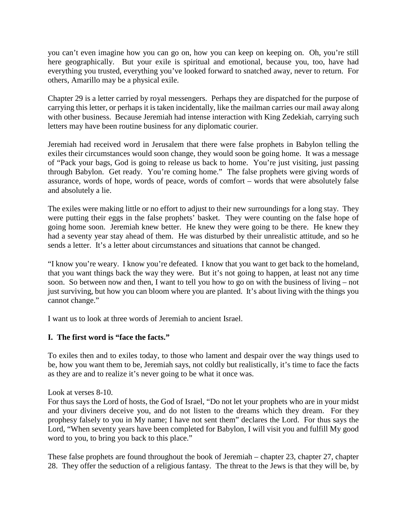you can't even imagine how you can go on, how you can keep on keeping on. Oh, you're still here geographically. But your exile is spiritual and emotional, because you, too, have had everything you trusted, everything you've looked forward to snatched away, never to return. For others, Amarillo may be a physical exile.

Chapter 29 is a letter carried by royal messengers. Perhaps they are dispatched for the purpose of carrying this letter, or perhaps it is taken incidentally, like the mailman carries our mail away along with other business. Because Jeremiah had intense interaction with King Zedekiah, carrying such letters may have been routine business for any diplomatic courier.

Jeremiah had received word in Jerusalem that there were false prophets in Babylon telling the exiles their circumstances would soon change, they would soon be going home. It was a message of "Pack your bags, God is going to release us back to home. You're just visiting, just passing through Babylon. Get ready. You're coming home." The false prophets were giving words of assurance, words of hope, words of peace, words of comfort – words that were absolutely false and absolutely a lie.

The exiles were making little or no effort to adjust to their new surroundings for a long stay. They were putting their eggs in the false prophets' basket. They were counting on the false hope of going home soon. Jeremiah knew better. He knew they were going to be there. He knew they had a seventy year stay ahead of them. He was disturbed by their unrealistic attitude, and so he sends a letter. It's a letter about circumstances and situations that cannot be changed.

"I know you're weary. I know you're defeated. I know that you want to get back to the homeland, that you want things back the way they were. But it's not going to happen, at least not any time soon. So between now and then, I want to tell you how to go on with the business of living – not just surviving, but how you can bloom where you are planted. It's about living with the things you cannot change."

I want us to look at three words of Jeremiah to ancient Israel.

# **I. The first word is "face the facts."**

To exiles then and to exiles today, to those who lament and despair over the way things used to be, how you want them to be, Jeremiah says, not coldly but realistically, it's time to face the facts as they are and to realize it's never going to be what it once was.

Look at verses 8-10.

For thus says the Lord of hosts, the God of Israel, "Do not let your prophets who are in your midst and your diviners deceive you, and do not listen to the dreams which they dream. For they prophesy falsely to you in My name; I have not sent them" declares the Lord. For thus says the Lord, "When seventy years have been completed for Babylon, I will visit you and fulfill My good word to you, to bring you back to this place."

These false prophets are found throughout the book of Jeremiah – chapter 23, chapter 27, chapter 28. They offer the seduction of a religious fantasy. The threat to the Jews is that they will be, by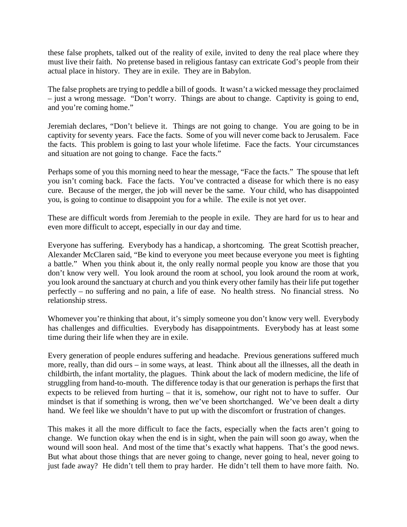these false prophets, talked out of the reality of exile, invited to deny the real place where they must live their faith. No pretense based in religious fantasy can extricate God's people from their actual place in history. They are in exile. They are in Babylon.

The false prophets are trying to peddle a bill of goods. It wasn't a wicked message they proclaimed – just a wrong message. "Don't worry. Things are about to change. Captivity is going to end, and you're coming home."

Jeremiah declares, "Don't believe it. Things are not going to change. You are going to be in captivity for seventy years. Face the facts. Some of you will never come back to Jerusalem. Face the facts. This problem is going to last your whole lifetime. Face the facts. Your circumstances and situation are not going to change. Face the facts."

Perhaps some of you this morning need to hear the message, "Face the facts." The spouse that left you isn't coming back. Face the facts. You've contracted a disease for which there is no easy cure. Because of the merger, the job will never be the same. Your child, who has disappointed you, is going to continue to disappoint you for a while. The exile is not yet over.

These are difficult words from Jeremiah to the people in exile. They are hard for us to hear and even more difficult to accept, especially in our day and time.

Everyone has suffering. Everybody has a handicap, a shortcoming. The great Scottish preacher, Alexander McClaren said, "Be kind to everyone you meet because everyone you meet is fighting a battle." When you think about it, the only really normal people you know are those that you don't know very well. You look around the room at school, you look around the room at work, you look around the sanctuary at church and you think every other family has their life put together perfectly – no suffering and no pain, a life of ease. No health stress. No financial stress. No relationship stress.

Whomever you're thinking that about, it's simply someone you don't know very well. Everybody has challenges and difficulties. Everybody has disappointments. Everybody has at least some time during their life when they are in exile.

Every generation of people endures suffering and headache. Previous generations suffered much more, really, than did ours – in some ways, at least. Think about all the illnesses, all the death in childbirth, the infant mortality, the plagues. Think about the lack of modern medicine, the life of struggling from hand-to-mouth. The difference today is that our generation is perhaps the first that expects to be relieved from hurting – that it is, somehow, our right not to have to suffer. Our mindset is that if something is wrong, then we've been shortchanged. We've been dealt a dirty hand. We feel like we shouldn't have to put up with the discomfort or frustration of changes.

This makes it all the more difficult to face the facts, especially when the facts aren't going to change. We function okay when the end is in sight, when the pain will soon go away, when the wound will soon heal. And most of the time that's exactly what happens. That's the good news. But what about those things that are never going to change, never going to heal, never going to just fade away? He didn't tell them to pray harder. He didn't tell them to have more faith. No.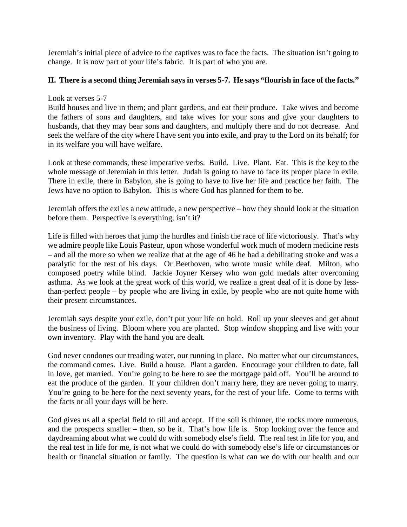Jeremiah's initial piece of advice to the captives was to face the facts. The situation isn't going to change. It is now part of your life's fabric. It is part of who you are.

### **II. There is a second thing Jeremiah says in verses 5-7. He says "flourish in face of the facts."**

### Look at verses 5-7

Build houses and live in them; and plant gardens, and eat their produce. Take wives and become the fathers of sons and daughters, and take wives for your sons and give your daughters to husbands, that they may bear sons and daughters, and multiply there and do not decrease. And seek the welfare of the city where I have sent you into exile, and pray to the Lord on its behalf; for in its welfare you will have welfare.

Look at these commands, these imperative verbs. Build. Live. Plant. Eat. This is the key to the whole message of Jeremiah in this letter. Judah is going to have to face its proper place in exile. There in exile, there in Babylon, she is going to have to live her life and practice her faith. The Jews have no option to Babylon. This is where God has planned for them to be.

Jeremiah offers the exiles a new attitude, a new perspective – how they should look at the situation before them. Perspective is everything, isn't it?

Life is filled with heroes that jump the hurdles and finish the race of life victoriously. That's why we admire people like Louis Pasteur, upon whose wonderful work much of modern medicine rests – and all the more so when we realize that at the age of 46 he had a debilitating stroke and was a paralytic for the rest of his days. Or Beethoven, who wrote music while deaf. Milton, who composed poetry while blind. Jackie Joyner Kersey who won gold medals after overcoming asthma. As we look at the great work of this world, we realize a great deal of it is done by lessthan-perfect people – by people who are living in exile, by people who are not quite home with their present circumstances.

Jeremiah says despite your exile, don't put your life on hold. Roll up your sleeves and get about the business of living. Bloom where you are planted. Stop window shopping and live with your own inventory. Play with the hand you are dealt.

God never condones our treading water, our running in place. No matter what our circumstances, the command comes. Live. Build a house. Plant a garden. Encourage your children to date, fall in love, get married. You're going to be here to see the mortgage paid off. You'll be around to eat the produce of the garden. If your children don't marry here, they are never going to marry. You're going to be here for the next seventy years, for the rest of your life. Come to terms with the facts or all your days will be here.

God gives us all a special field to till and accept. If the soil is thinner, the rocks more numerous, and the prospects smaller – then, so be it. That's how life is. Stop looking over the fence and daydreaming about what we could do with somebody else's field. The real test in life for you, and the real test in life for me, is not what we could do with somebody else's life or circumstances or health or financial situation or family. The question is what can we do with our health and our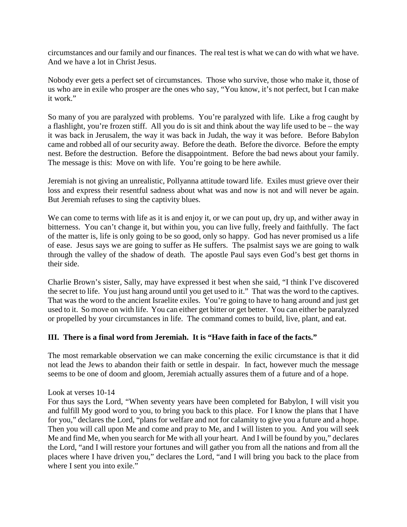circumstances and our family and our finances. The real test is what we can do with what we have. And we have a lot in Christ Jesus.

Nobody ever gets a perfect set of circumstances. Those who survive, those who make it, those of us who are in exile who prosper are the ones who say, "You know, it's not perfect, but I can make it work."

So many of you are paralyzed with problems. You're paralyzed with life. Like a frog caught by a flashlight, you're frozen stiff. All you do is sit and think about the way life used to be – the way it was back in Jerusalem, the way it was back in Judah, the way it was before. Before Babylon came and robbed all of our security away. Before the death. Before the divorce. Before the empty nest. Before the destruction. Before the disappointment. Before the bad news about your family. The message is this: Move on with life. You're going to be here awhile.

Jeremiah is not giving an unrealistic, Pollyanna attitude toward life. Exiles must grieve over their loss and express their resentful sadness about what was and now is not and will never be again. But Jeremiah refuses to sing the captivity blues.

We can come to terms with life as it is and enjoy it, or we can pout up, dry up, and wither away in bitterness. You can't change it, but within you, you can live fully, freely and faithfully. The fact of the matter is, life is only going to be so good, only so happy. God has never promised us a life of ease. Jesus says we are going to suffer as He suffers. The psalmist says we are going to walk through the valley of the shadow of death. The apostle Paul says even God's best get thorns in their side.

Charlie Brown's sister, Sally, may have expressed it best when she said, "I think I've discovered the secret to life. You just hang around until you get used to it." That was the word to the captives. That was the word to the ancient Israelite exiles. You're going to have to hang around and just get used to it. So move on with life. You can either get bitter or get better. You can either be paralyzed or propelled by your circumstances in life. The command comes to build, live, plant, and eat.

# **III. There is a final word from Jeremiah. It is "Have faith in face of the facts."**

The most remarkable observation we can make concerning the exilic circumstance is that it did not lead the Jews to abandon their faith or settle in despair. In fact, however much the message seems to be one of doom and gloom, Jeremiah actually assures them of a future and of a hope.

Look at verses 10-14

For thus says the Lord, "When seventy years have been completed for Babylon, I will visit you and fulfill My good word to you, to bring you back to this place. For I know the plans that I have for you," declares the Lord, "plans for welfare and not for calamity to give you a future and a hope. Then you will call upon Me and come and pray to Me, and I will listen to you. And you will seek Me and find Me, when you search for Me with all your heart. And I will be found by you," declares the Lord, "and I will restore your fortunes and will gather you from all the nations and from all the places where I have driven you," declares the Lord, "and I will bring you back to the place from where I sent you into exile."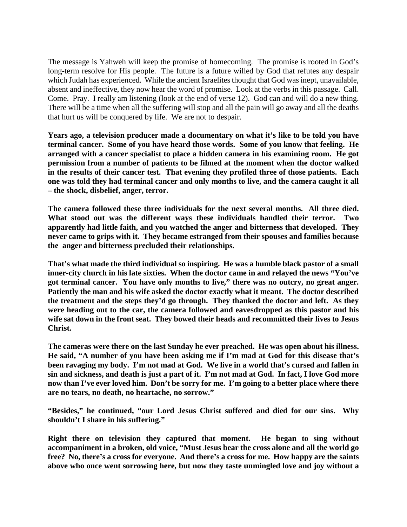The message is Yahweh will keep the promise of homecoming. The promise is rooted in God's long-term resolve for His people. The future is a future willed by God that refutes any despair which Judah has experienced. While the ancient Israelites thought that God was inept, unavailable, absent and ineffective, they now hear the word of promise. Look at the verbs in this passage. Call. Come. Pray. I really am listening (look at the end of verse 12). God can and will do a new thing. There will be a time when all the suffering will stop and all the pain will go away and all the deaths that hurt us will be conquered by life. We are not to despair.

**Years ago, a television producer made a documentary on what it's like to be told you have terminal cancer. Some of you have heard those words. Some of you know that feeling. He arranged with a cancer specialist to place a hidden camera in his examining room. He got permission from a number of patients to be filmed at the moment when the doctor walked in the results of their cancer test. That evening they profiled three of those patients. Each one was told they had terminal cancer and only months to live, and the camera caught it all – the shock, disbelief, anger, terror.**

**The camera followed these three individuals for the next several months. All three died. What stood out was the different ways these individuals handled their terror. Two apparently had little faith, and you watched the anger and bitterness that developed. They never came to grips with it. They became estranged from their spouses and families because the anger and bitterness precluded their relationships.**

**That's what made the third individual so inspiring. He was a humble black pastor of a small inner-city church in his late sixties. When the doctor came in and relayed the news "You've got terminal cancer. You have only months to live," there was no outcry, no great anger. Patiently the man and his wife asked the doctor exactly what it meant. The doctor described the treatment and the steps they'd go through. They thanked the doctor and left. As they were heading out to the car, the camera followed and eavesdropped as this pastor and his wife sat down in the front seat. They bowed their heads and recommitted their lives to Jesus Christ.**

**The cameras were there on the last Sunday he ever preached. He was open about his illness. He said, "A number of you have been asking me if I'm mad at God for this disease that's been ravaging my body. I'm not mad at God. We live in a world that's cursed and fallen in sin and sickness, and death is just a part of it. I'm not mad at God. In fact, I love God more now than I've ever loved him. Don't be sorry for me. I'm going to a better place where there are no tears, no death, no heartache, no sorrow."**

**"Besides," he continued, "our Lord Jesus Christ suffered and died for our sins. Why shouldn't I share in his suffering."**

**Right there on television they captured that moment. He began to sing without accompaniment in a broken, old voice, "Must Jesus bear the cross alone and all the world go free? No, there's a cross for everyone. And there's a cross for me. How happy are the saints above who once went sorrowing here, but now they taste unmingled love and joy without a**